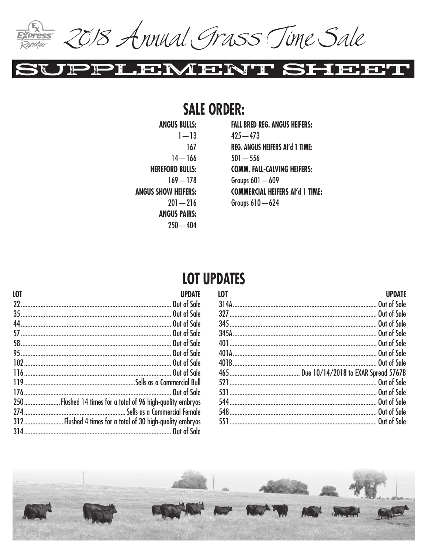



## **SALE ORDER:**

**ANGUS BULLS:**  $1 - 13$  $167$  $14 - 166$ **HEREFORD BULLS:**  $169 - 178$ **ANGUS SHOW HEIFERS:**  $201 - 216$ **ANGUS PAIRS:**  $250 - 404$ 

**FALL BRED REG. ANGUS HEIFERS:**  $425 - 473$ **REG. ANGUS HEIFERS AI'd 1 TIME:**  $501 - 556$ **COMM. FALL-CALVING HEIFERS:** Groups 601 - 609 **COMMERCIAL HEIFERS AI'd 1 TIME:** Groups 610-624

# **LOT UPDATES**

| <b>LOT</b> | <b>UPDATE</b>                                               |
|------------|-------------------------------------------------------------|
|            |                                                             |
|            |                                                             |
|            |                                                             |
|            |                                                             |
|            |                                                             |
|            |                                                             |
|            |                                                             |
|            |                                                             |
|            |                                                             |
|            |                                                             |
|            | 250 Flushed 14 times for a total of 96 high-quality embryos |
|            |                                                             |
|            | 312 Flushed 4 times for a total of 30 high-quality embryos  |
|            |                                                             |

| LOT | <b>UPDATE</b> |
|-----|---------------|
|     |               |
|     |               |
|     |               |
|     |               |
|     |               |
|     |               |
|     |               |
|     |               |
|     |               |
|     |               |
|     |               |
|     |               |
|     |               |
|     |               |

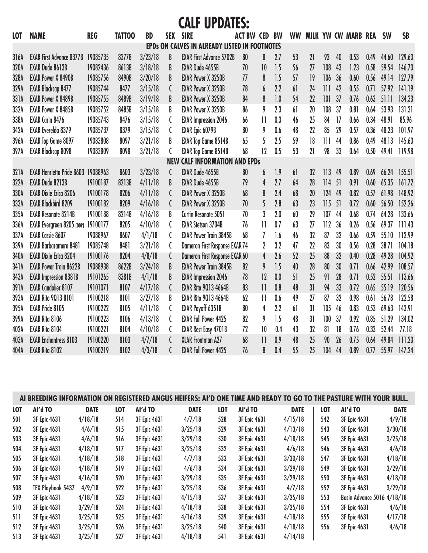|            |                                    |            |               |           |                | <b>CALF UPDATES:</b>                                 |                   |                         |           |           |    |     |    |                        |            |           |           |
|------------|------------------------------------|------------|---------------|-----------|----------------|------------------------------------------------------|-------------------|-------------------------|-----------|-----------|----|-----|----|------------------------|------------|-----------|-----------|
| <b>LOT</b> | <b>NAME</b>                        | <b>REG</b> | <b>TATTOO</b> | <b>BD</b> | <b>SEX</b>     | <b>SIRE</b>                                          | <b>ACT BW CED</b> |                         | <b>BW</b> | <b>WW</b> |    |     |    | <b>MILK YW CW MARB</b> | <b>REA</b> | <b>SW</b> | <b>SB</b> |
|            |                                    |            |               |           |                | <b>EPDs ON CALVES IN ALREADY LISTED IN FOOTNOTES</b> |                   |                         |           |           |    |     |    |                        |            |           |           |
| 316A       | <b>EXAR First Advance 8377B</b>    | 19085735   | 8377B         | 3/23/18   | B              | <b>EXAR First Advance 5702B</b>                      | 80                | 8                       | 2.7       | 53        | 21 | 93  | 40 | 0.53                   | 0.49       | 44.60     | 129.60    |
| 320A       | EXAR Dude 8613B                    | 19082436   | 8613B         | 3/18/18   | B              | <b>EXAR Dude 4655B</b>                               | 70                | 10                      | 1.5       | 56        | 27 | 108 | 43 | 1.23                   | 0.58       | 59.54     | 146.70    |
| 328A       | <b>EXAR Power X 8490B</b>          | 19085756   | 8490B         | 3/20/18   | B              | <b>EXAR Power X 3250B</b>                            | 77                | 8                       | 1.5       | 57        | 19 | 106 | 36 | 0.60                   | 0.56       | 49.14     | 127.79    |
| 329A       | <b>EXAR Blackcap 8477</b>          | 19085744   | 8477          | 3/15/18   | C              | <b>EXAR Power X 3250B</b>                            | 78                | $\mathfrak b$           | 2.2       | 61        | 24 | 111 | 42 | 0.55                   | 0.71       | 57.92     | 141.19    |
| 331A       | <b>EXAR Power X 8489B</b>          | 19085755   | 8489B         | 3/19/18   | B              | <b>EXAR Power X 3250B</b>                            | 84                | 8                       | 1.0       | 54        | 22 | 101 | 37 | 0.76                   | 0.63       | 51.11     | 134.33    |
| 332A       | <b>EXAR Power X 8485B</b>          | 19085752   | 8485B         | 3/15/18   | B              | <b>EXAR Power X 3250B</b>                            | 86                | 9                       | 2.3       | 61        | 20 | 108 | 37 | 0.81                   | 0.64       | 53.93     | 131.31    |
| 338A       | <b>EXAR Carin 8476</b>             | 19085743   | 8476          | 3/15/18   | C              | <b>EXAR Impression 2046</b>                          | 66                | 11                      | 0.3       | 46        | 25 | 84  | 17 | 0.66                   | 0.34       | 48.91     | 85.96     |
| 342A       | <b>EXAR Everelda 8379</b>          | 19085737   | 8379          | 3/15/18   | C              | <b>EXAR Epic 6079B</b>                               | 80                | 9                       | 0.6       | 48        | 22 | 85  | 29 | 0.57                   | 0.36       | 48.23     | 101.97    |
| 396A       | <b>EXAR Top Game 8097</b>          | 19083808   | 8097          | 3/21/18   | B              | <b>EXAR Top Game 8514B</b>                           | 65                | 5                       | 2.5       | 59        | 18 | 111 | 44 | 0.86                   | 0.49       | 48.13     | 145.60    |
| 397A       | <b>EXAR Blackcap 8098</b>          | 19083809   | 8098          | 3/21/18   | C              | <b>EXAR Top Game 8514B</b>                           | 68                | 12                      | 0.5       | 53        | 21 | 98  | 33 | 0.64                   | 0.50       | 49.41     | 119.98    |
|            |                                    |            |               |           | <b>NEW</b>     | <b>CALF INFORMATION AND EPDs</b>                     |                   |                         |           |           |    |     |    |                        |            |           |           |
| 321A       | <b>EXAR Henrietta Pride 8603</b>   | 19088963   | 8603          | 3/23/18   | C              | <b>EXAR Dude 4655B</b>                               | 80                | h                       | 1.9       | 61        | 32 | 113 | 49 | 0.89                   | 0.69       | 66.24     | 155.51    |
| 322A       | <b>EXAR Dude 8213B</b>             | 19100187   | 8213B         | 4/11/18   | B              | <b>EXAR Dude 4655B</b>                               | 79                | 4                       | 2.7       | 64        | 28 | 114 | 51 | 0.91                   | 0.60       | 65.35     | 161.72    |
| 330A       | <b>EXAR Dixie Erica 8206</b>       | 19100178   | 8206          | 4/11/18   | C              | <b>EXAR Power X 3250B</b>                            | 68                | 8                       | 2.4       | 68        | 20 | 124 | 49 | 0.82                   | 0.57       | 61.98     | 148.92    |
| 333A       | <b>EXAR Blackbird 8209</b>         | 19100182   | 8209          | 4/16/18   | C              | <b>EXAR Power X 3250B</b>                            | 70                | 5                       | 2.8       | 63        | 23 | 115 | 51 | 0.72                   | 0.60       | 56.50     | 152.26    |
| 335A       | <b>EXAR Resonate 8214B</b>         | 19100188   | 8214B         | 4/16/18   | B              | Curtin Resonate 5051                                 | 70                | 3                       | 2.0       | 60        | 29 | 107 | 44 | 0.68                   | 0.74       | 64.28     | 133.66    |
| 336A       | EXAR Evergreen 8205 [DDP] 19100177 |            | 8205          | 4/10/18   | C              | <b>EXAR Stetson 3704B</b>                            | 76                | 11                      | 0.7       | 63        | 27 | 112 | 36 | 0.26                   | 0.56       | 69.37     | 111.43    |
| 337A       | <b>EXAR Cassie 8607</b>            | 19088967   | 8607          | 4/1/18    | C              | <b>EXAR Power Train 3845B</b>                        | 68                | 7                       | 1.6       | 46        | 32 | 87  | 32 | 0.66                   | 0.59       | 55.10     | 112.99    |
| 339A       | <b>EXAR Barbaramere 8481</b>       | 19085748   | 8481          | 3/21/18   | C              | Dameron First Response EXAR 74                       |                   | $\mathfrak 2$           | 3.2       | 47        | 22 | 83  | 30 | 0.56                   | 0.28       | 38.71     | 104.18    |
| 340A       | <b>EXAR Dixie Erica 8204</b>       | 19100176   | 8204          | 4/8/18    | $\mathfrak{c}$ | Dameron First Response EXAR 60                       |                   | $\overline{4}$          | 2.6       | 52        | 25 | 88  | 32 | 0.40                   | 0.28       | 49.28     | 104.92    |
| 341A       | <b>EXAR Power Train 8622B</b>      | 19088938   | 8622B         | 3/24/18   | B              | <b>EXAR Power Train 3845B</b>                        | 82                | 9                       | 1.5       | 40        | 28 | 80  | 30 | 0.71                   | 0.66       | 42.99     | 108.57    |
| 343A       | <b>EXAR Impression 8381B</b>       | 19101265   | 8381B         | 4/1/18    | B              | <b>EXAR Impression 2046</b>                          | 78                | 12                      | 0.0       | 51        | 25 | 91  | 28 | 0.71                   | 0.52       | 55.51     | 113.66    |
| 391A       | <b>EXAR Candolier 8107</b>         | 19101071   | 8107          | 4/17/18   | C              | <b>EXAR Rito 9Q13 4664B</b>                          | 83                | $\overline{\mathbf{1}}$ | 0.8       | 48        | 31 | 94  | 33 | 0.72                   | 0.65       | 55.19     | 120.56    |
| 393A       | <b>EXAR Rito 9Q13 8101</b>         | 19100218   | 8101          | 3/27/18   | B              | <b>EXAR Rito 9Q13 4664B</b>                          | 62                | 11                      | 0.6       | 49        | 27 | 87  | 32 | 0.98                   | 0.61       | 56.78     | 122.58    |
| 395A       | <b>EXAR Pride 8105</b>             | 19100222   | 8105          | 4/11/18   | C              | <b>EXAR Payoff 6351B</b>                             | 80                | 4                       | 2.2       | 61        | 31 | 105 | 46 | 0.83                   | 0.53       | 69.63     | 143.91    |
| 399A       | <b>EXAR Rita 8106</b>              | 19100223   | 8106          | 4/13/18   | C              | <b>EXAR Full Power 4425</b>                          | 82                | 9                       | 1.5       | 48        | 31 | 100 | 37 | 0.92                   | 0.85       | 51.29     | 134.02    |
| 402A       | <b>EXAR Rita 8104</b>              | 19100221   | 8104          | 4/10/18   | C              | <b>EXAR Rest Easy 4701B</b>                          | 72                | 10                      | $-0.4$    | 43        | 32 | 81  | 18 | 0.76                   | 0.33       | 52.44     | 77.18     |
| 403A       | <b>EXAR Enchantress 8103</b>       | 19100220   | 8103          | 4/7/18    | C              | <b>XLAR Frontman A27</b>                             | 68                | 11                      | 0.9       | 48        | 25 | 90  | 26 | 0.75                   | 0.64       | 49.84     | 111.20    |
| 404A       | <b>EXAR Rita 8102</b>              | 19100219   | 8102          | 4/3/18    | C              | <b>EXAR Full Power 4425</b>                          | 76                | 8                       | 0.4       | 55        | 25 | 104 | 44 | 0.89                   | 0.77       | 55.97     | 147.24    |

### **AI BREEDING INFORMATION ON REGISTERED ANGUS HEIFERS: AI'D ONE TIME AND READY TO GO TO THE PASTURE WITH YOUR BULL.**

| <b>LOT</b> | Al'd TO                  | <b>DATE</b> | <b>LOT</b> | Al'd TO      | <b>DATE</b> | <b>LOT</b> | Al'd TO      | <b>DATE</b> | <b>LOT</b> | Al'd TO                    | <b>DATE</b> |
|------------|--------------------------|-------------|------------|--------------|-------------|------------|--------------|-------------|------------|----------------------------|-------------|
| 501        | 3F Epic 4631             | 4/18/18     | 514        | 3F Epic 4631 | 4/7/18      | 528        | 3F Epic 4631 | 4/15/18     | 542        | 3F Epic 4631               | 4/9/18      |
| 502        | 3F Epic 4631             | 4/6/18      | 515        | 3F Epic 4631 | 3/25/18     | 529        | 3F Epic 4631 | 4/13/18     | 543        | 3F Epic 4631               | 3/30/18     |
| 503        | 3F Epic 4631             | 4/6/18      | 516        | 3F Epic 4631 | 3/29/18     | 530        | 3F Epic 4631 | 4/18/18     | 545        | 3F Epic 4631               | 3/25/18     |
| 504        | 3F Epic 4631             | 4/18/18     | 517        | 3F Epic 4631 | 3/25/18     | 532        | 3F Epic 4631 | 4/6/18      | 546        | 3F Epic 4631               | 4/6/18      |
| 505        | 3F Epic 4631             | 4/18/18     | 518        | 3F Epic 4631 | 4/7/18      | 533        | 3F Epic 4631 | 3/30/18     | 547        | 3F Epic 4631               | 4/18/18     |
| 506        | 3F Epic 4631             | 4/18/18     | 519        | 3F Epic 4631 | 4/6/18      | 534        | 3F Epic 4631 | 3/29/18     | 549        | 3F Epic 4631               | 3/29/18     |
| 507        | 3F Epic 4631             | 4/16/18     | 520        | 3F Epic 4631 | 3/29/18     | 535        | 3F Epic 4631 | 3/29/18     | 550        | 3F Epic 4631               | 4/18/18     |
| 508        | <b>TEX Playbook 5437</b> | 4/9/18      | 522        | 3F Epic 4631 | 3/25/18     | 536        | 3F Epic 4631 | 4/7/18      | 552        | 3F Epic 4631               | 3/29/18     |
| 509        | 3F Epic 4631             | 4/18/18     | 523        | 3F Epic 4631 | 4/15/18     | 537        | 3F Epic 4631 | 3/25/18     | 553        | Basin Advance 5016 4/18/18 |             |
| 510        | 3F Epic 4631             | 3/29/18     | 524        | 3F Epic 4631 | 4/18/18     | 538        | 3F Epic 4631 | 3/25/18     | 554        | 3F Epic 4631               | 4/6/18      |
| 511        | 3F Epic 4631             | 3/25/18     | 525        | 3F Epic 4631 | 4/16/18     | 539        | 3F Epic 4631 | 4/18/18     | 555        | 3F Epic 4631               | 4/17/18     |
| 512        | 3F Epic 4631             | 3/25/18     | 526        | 3F Epic 4631 | 3/25/18     | 540        | 3F Epic 4631 | 4/18/18     | 556        | 3F Epic 4631               | 4/6/18      |
| 513        | 3F Epic 4631             | 3/25/18     | 527        | 3F Epic 4631 | 4/18/18     | 541        | 3F Epic 4631 | 4/14/18     |            |                            |             |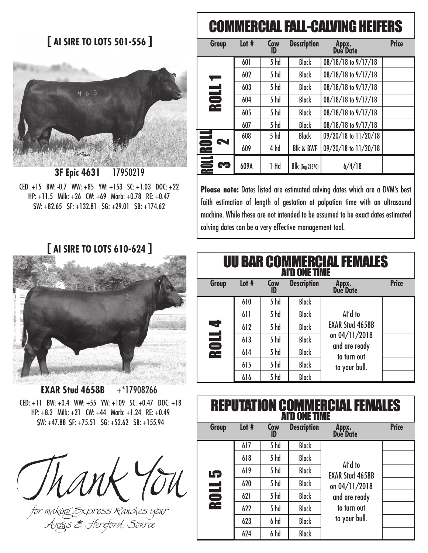**[ AI SIRE TO LOTS 501-556 ]**



CED: +15 BW: -0.7 WW: +85 YW: +153 SC: +1.03 DOC: +22 HP: +11.5 Milk: +26 CW: +69 Marb: +0.78 RE: +0.47 \$W: +82.65 \$F: +132.81 \$G: +29.01 \$B: +174.62

# **[ AI SIRE TO LOTS 610-624 ]**

**EXAR Stud 4658B** +\*17908266 CED:  $+11$  BW:  $+0.4$  WW:  $+55$  YW:  $+109$  SC:  $+0.47$  DOC:  $+18$ HP: +8.2 Milk: +21 CW: +44 Marb: +1.24 RE: +0.49 \$W: +47.88 \$F: +75.51 \$G: +52.62 \$B: +155.94



for making Express Ranches your Angus & Hereford Source

# COMMERCIAL FALL-CALVING HEIFERS

| Group             | Lot $#$ | Cow<br>ID | <b>Description</b>   | Appx.<br>Due Date    | <b>Price</b> |
|-------------------|---------|-----------|----------------------|----------------------|--------------|
|                   | 601     | 5 hd      | <b>Black</b>         | 08/18/18 to 9/17/18  |              |
|                   | 602     | 5 hd      | <b>Black</b>         | 08/18/18 to 9/17/18  |              |
|                   | 603     | 5 hd      | <b>Black</b>         | 08/18/18 to 9/17/18  |              |
| <b>HOSE</b>       | 604     | 5 hd      | <b>Black</b>         | 08/18/18 to 9/17/18  |              |
|                   | 605     | 5 hd      | <b>Black</b>         | 08/18/18 to 9/17/18  |              |
|                   | 607     | 5 hd      | <b>Black</b>         | 08/18/18 to 9/17/18  |              |
| j                 | 608     | 5 hd      | <b>Black</b>         | 09/20/18 to 11/20/18 |              |
| N<br>$\mathbf{r}$ | 609     | 4 hd      | <b>Blk &amp; BWF</b> | 09/20/18 to 11/20/18 |              |
| ROLLI<br>M        | 609A    | 1 Hd      | Blk $(Tag 21570)$    | 6/4/18               |              |

**Please note:** Dates listed are estimated calving dates which are a DVM's best faith estimation of length of gestation at palpation time with an ultrasound machine. While these are not intended to be assumed to be exact dates estimated CO 609A 1 Hd Blk (Tag 21570) 1<br>
Please note: Dates listed are estimated calving date<br>
faith estimation of length of gestation at palpation<br>
machine. While these are not intended to be assumed to<br>
calving dates can be a ver

| <b>UU BAR COMMERCIAL FEMALES</b><br><b>AI'D ONE TIME</b> |         |           |                    |                                  |              |  |  |  |  |  |
|----------------------------------------------------------|---------|-----------|--------------------|----------------------------------|--------------|--|--|--|--|--|
| Group                                                    | Lot $#$ | Cow<br>ĬĎ | <b>Description</b> | Appx.<br>Due Date                | <b>Price</b> |  |  |  |  |  |
|                                                          | 610     | 5 hd      | <b>Black</b>       |                                  |              |  |  |  |  |  |
| <b>ROLL4</b>                                             | 611     | 5 hd      | <b>Black</b>       | Al'd to                          |              |  |  |  |  |  |
|                                                          | 612     | 5 hd      | <b>Black</b>       | EXAR Stud 4658B<br>on 04/11/2018 |              |  |  |  |  |  |
|                                                          | 613     | 5 hd      | <b>Black</b>       |                                  |              |  |  |  |  |  |
|                                                          | 614     | 5 hd      | <b>Black</b>       | and are ready<br>to turn out     |              |  |  |  |  |  |
|                                                          | 615     | 5 hd      | <b>Black</b>       | to your bull.                    |              |  |  |  |  |  |
|                                                          | 616     | 5 hd      | <b>Black</b>       |                                  |              |  |  |  |  |  |

| <b>REPUTATION COMMERCIAL FEMALES</b><br><b>AI'D ONE TIME</b> |         |           |                    |                                         |              |  |  |  |  |  |
|--------------------------------------------------------------|---------|-----------|--------------------|-----------------------------------------|--------------|--|--|--|--|--|
| Group                                                        | Lot $#$ | Cow<br>ĬĎ | <b>Description</b> | Appx.<br>Due Date                       | <b>Price</b> |  |  |  |  |  |
|                                                              | 617     | 5 hd      | <b>Black</b>       |                                         |              |  |  |  |  |  |
| LĄ<br><b>NO2</b>                                             | 618     | 5 hd      | <b>Black</b>       | Al'd to                                 |              |  |  |  |  |  |
|                                                              | 619     | 5 hd      | <b>Black</b>       | <b>EXAR Stud 4658B</b><br>on 04/11/2018 |              |  |  |  |  |  |
|                                                              | 620     | 5 hd      | <b>Black</b>       |                                         |              |  |  |  |  |  |
|                                                              | 621     | 5 hd      | <b>Black</b>       | and are ready                           |              |  |  |  |  |  |
|                                                              | 622     | 5 hd      | <b>Black</b>       | to turn out                             |              |  |  |  |  |  |
|                                                              | 623     | 6 hd      | <b>Black</b>       | to your bull.                           |              |  |  |  |  |  |
|                                                              | 624     | 6 hd      | <b>Black</b>       |                                         |              |  |  |  |  |  |